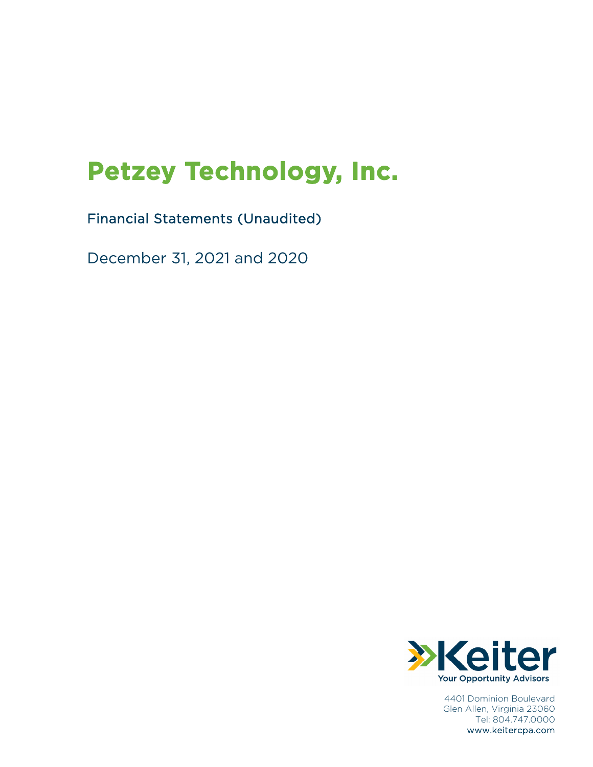# **Petzey Technology, Inc.**

## Financial Statements (Unaudited)

December 31, 2021 and 2020



4401 Dominion Boulevard Glen Allen, Virginia 23060 Tel: 804.747.0000 www.keitercpa.com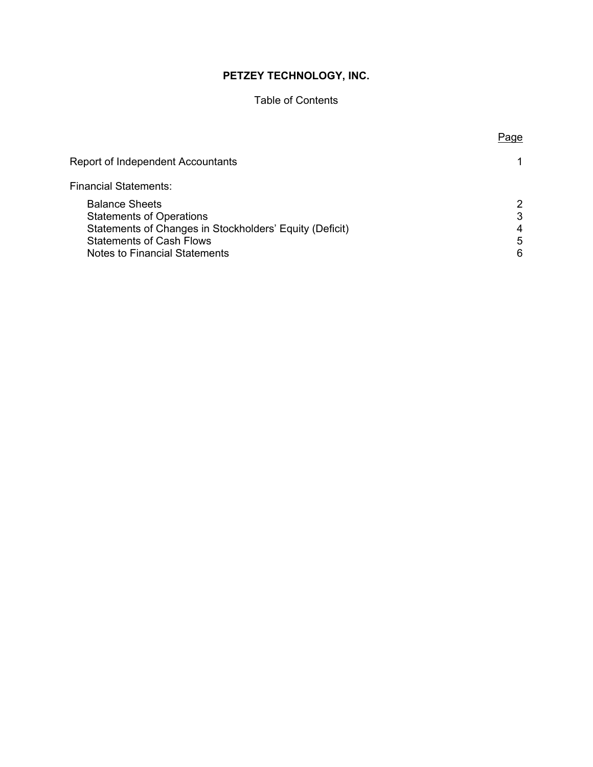### Table of Contents

Page

| Report of Independent Accountants                                                                                                                                                       |                                   |
|-----------------------------------------------------------------------------------------------------------------------------------------------------------------------------------------|-----------------------------------|
| Financial Statements:                                                                                                                                                                   |                                   |
| <b>Balance Sheets</b><br><b>Statements of Operations</b><br>Statements of Changes in Stockholders' Equity (Deficit)<br><b>Statements of Cash Flows</b><br>Notes to Financial Statements | $\mathcal{P}$<br>3<br>4<br>5<br>6 |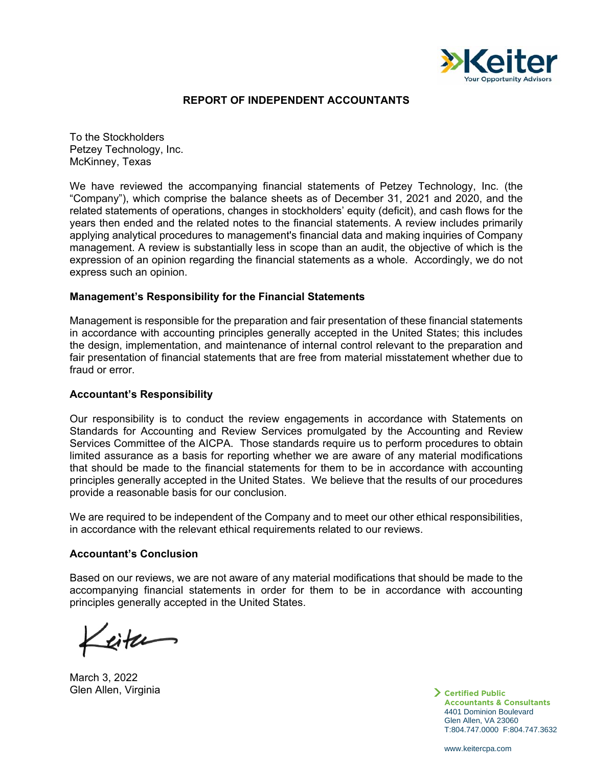

#### **REPORT OF INDEPENDENT ACCOUNTANTS**

To the Stockholders Petzey Technology, Inc. McKinney, Texas

We have reviewed the accompanying financial statements of Petzey Technology, Inc. (the "Company"), which comprise the balance sheets as of December 31, 2021 and 2020, and the related statements of operations, changes in stockholders' equity (deficit), and cash flows for the years then ended and the related notes to the financial statements. A review includes primarily applying analytical procedures to management's financial data and making inquiries of Company management. A review is substantially less in scope than an audit, the objective of which is the expression of an opinion regarding the financial statements as a whole. Accordingly, we do not express such an opinion.

#### **Management's Responsibility for the Financial Statements**

Management is responsible for the preparation and fair presentation of these financial statements in accordance with accounting principles generally accepted in the United States; this includes the design, implementation, and maintenance of internal control relevant to the preparation and fair presentation of financial statements that are free from material misstatement whether due to fraud or error.

#### **Accountant's Responsibility**

Our responsibility is to conduct the review engagements in accordance with Statements on Standards for Accounting and Review Services promulgated by the Accounting and Review Services Committee of the AICPA. Those standards require us to perform procedures to obtain limited assurance as a basis for reporting whether we are aware of any material modifications that should be made to the financial statements for them to be in accordance with accounting principles generally accepted in the United States. We believe that the results of our procedures provide a reasonable basis for our conclusion.

We are required to be independent of the Company and to meet our other ethical responsibilities, in accordance with the relevant ethical requirements related to our reviews.

#### **Accountant's Conclusion**

Based on our reviews, we are not aware of any material modifications that should be made to the accompanying financial statements in order for them to be in accordance with accounting principles generally accepted in the United States.

lite

March 3, 2022 Glen Allen, Virginia

**Certified Public Accountants & Consultants**  4401 Dominion Boulevard Glen Allen, VA 23060 T:804.747.0000 F:804.747.3632

www.keitercpa.com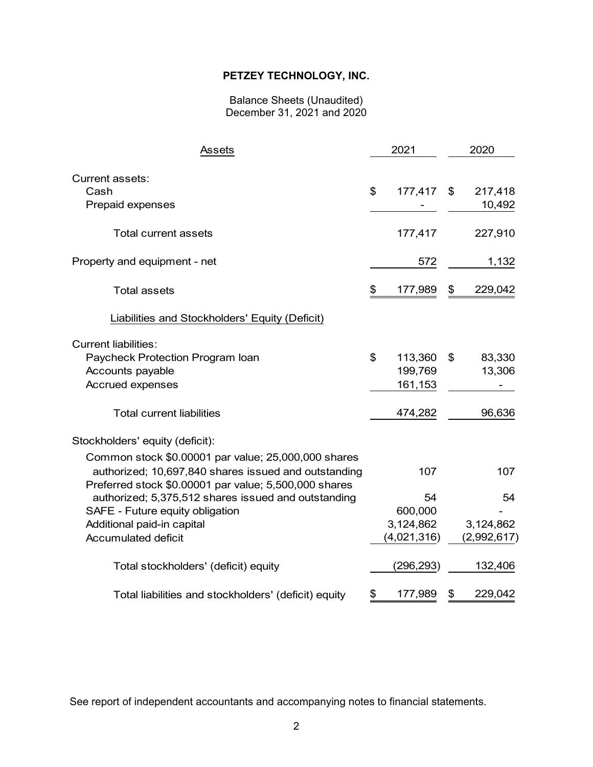#### Balance Sheets (Unaudited) December 31, 2021 and 2020

| Assets                                                                                                        | 2021 |             |    |             |
|---------------------------------------------------------------------------------------------------------------|------|-------------|----|-------------|
| <b>Current assets:</b><br>Cash                                                                                | \$   | 177,417     | \$ | 217,418     |
| Prepaid expenses                                                                                              |      |             |    | 10,492      |
| <b>Total current assets</b>                                                                                   |      | 177,417     |    | 227,910     |
| Property and equipment - net                                                                                  |      | 572         |    | 1,132       |
| <b>Total assets</b>                                                                                           | \$   | 177,989     | \$ | 229,042     |
| Liabilities and Stockholders' Equity (Deficit)                                                                |      |             |    |             |
| <b>Current liabilities:</b>                                                                                   |      |             |    |             |
| Paycheck Protection Program Ioan                                                                              | \$   | 113,360     | \$ | 83,330      |
| Accounts payable                                                                                              |      | 199,769     |    | 13,306      |
| Accrued expenses                                                                                              |      | 161,153     |    |             |
| <b>Total current liabilities</b>                                                                              |      | 474,282     |    | 96,636      |
| Stockholders' equity (deficit):                                                                               |      |             |    |             |
| Common stock \$0.00001 par value; 25,000,000 shares                                                           |      |             |    |             |
| authorized; 10,697,840 shares issued and outstanding<br>Preferred stock \$0.00001 par value; 5,500,000 shares |      | 107         |    | 107         |
| authorized; 5,375,512 shares issued and outstanding                                                           |      | 54          |    | 54          |
| SAFE - Future equity obligation                                                                               |      | 600,000     |    |             |
| Additional paid-in capital                                                                                    |      | 3,124,862   |    | 3,124,862   |
| <b>Accumulated deficit</b>                                                                                    |      | (4,021,316) |    | (2,992,617) |
| Total stockholders' (deficit) equity                                                                          |      | (296,293)   |    | 132,406     |
| Total liabilities and stockholders' (deficit) equity                                                          | \$   | 177,989     | \$ | 229,042     |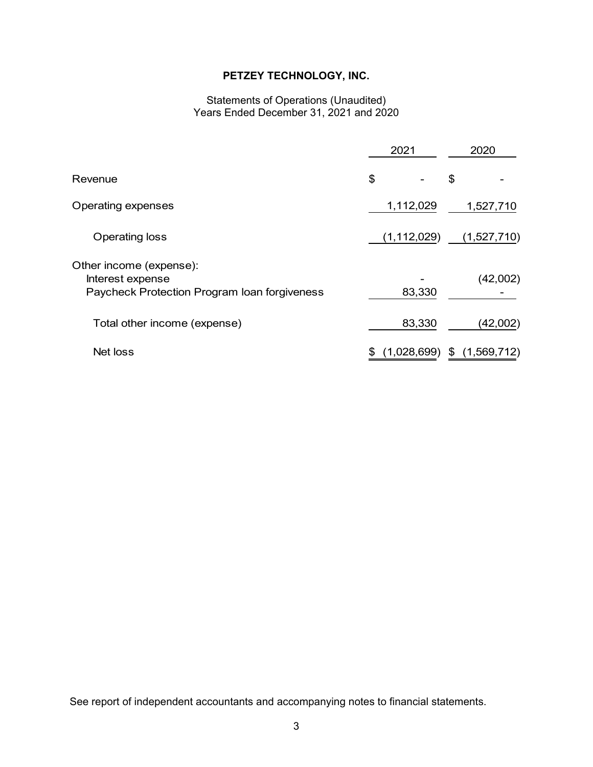#### Statements of Operations (Unaudited) Years Ended December 31, 2021 and 2020

|                                                                                             | 2021 |               |    | 2020        |  |  |  |  |
|---------------------------------------------------------------------------------------------|------|---------------|----|-------------|--|--|--|--|
| Revenue                                                                                     | \$   |               | \$ |             |  |  |  |  |
| <b>Operating expenses</b>                                                                   |      | 1,112,029     |    | 1,527,710   |  |  |  |  |
| Operating loss                                                                              |      | (1, 112, 029) |    | (1,527,710) |  |  |  |  |
| Other income (expense):<br>Interest expense<br>Paycheck Protection Program Ioan forgiveness |      | 83,330        |    | (42,002)    |  |  |  |  |
| Total other income (expense)                                                                |      | 83,330        |    | (42,002)    |  |  |  |  |
| Net loss                                                                                    | \$   | (1,028,699)   | \$ | (1,569,712) |  |  |  |  |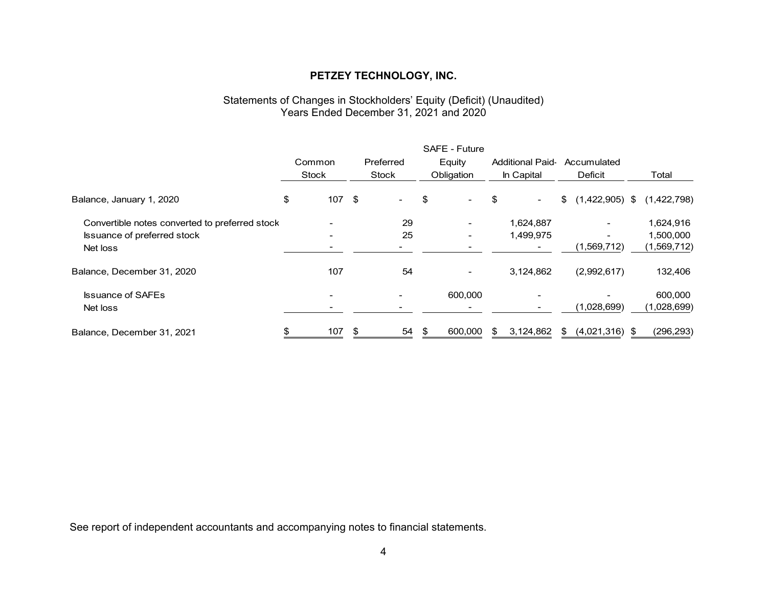#### Statements of Changes in Stockholders' Equity (Deficit) (Unaudited) Years Ended December 31, 2021 and 2020

|                                                | SAFE - Future |                          |    |                          |    |            |     |                          |                          |             |
|------------------------------------------------|---------------|--------------------------|----|--------------------------|----|------------|-----|--------------------------|--------------------------|-------------|
|                                                |               | Common                   |    | Preferred                |    | Equity     |     | <b>Additional Paid-</b>  | Accumulated              |             |
|                                                |               | Stock                    |    | Stock                    |    | Obligation |     | In Capital               | <b>Deficit</b>           | Total       |
| Balance, January 1, 2020                       | \$            | $107$ \$                 |    | $\overline{\phantom{a}}$ | \$ |            | \$  | $\blacksquare$           | \$<br>$(1,422,905)$ \$   | (1,422,798) |
| Convertible notes converted to preferred stock |               |                          |    | 29                       |    |            |     | 1,624,887                | $\overline{\phantom{0}}$ | 1,624,916   |
| Issuance of preferred stock                    |               |                          |    | 25                       |    |            |     | 1,499,975                | $\overline{\phantom{0}}$ | 1,500,000   |
| Net loss                                       |               |                          |    |                          |    |            |     | $\blacksquare$           | (1,569,712)              | (1,569,712) |
| Balance, December 31, 2020                     |               | 107                      |    | 54                       |    |            |     | 3,124,862                | (2,992,617)              | 132,406     |
| <b>Issuance of SAFEs</b>                       |               | $\overline{\phantom{a}}$ |    |                          |    | 600,000    |     | $\overline{\phantom{a}}$ |                          | 600,000     |
| Net loss                                       |               |                          |    |                          |    |            |     |                          | (1,028,699)              | (1,028,699) |
| Balance, December 31, 2021                     | \$            | 107                      | \$ | 54                       | S  | 600.000    | \$. | 3,124,862                | \$<br>$(4,021,316)$ \$   | (296, 293)  |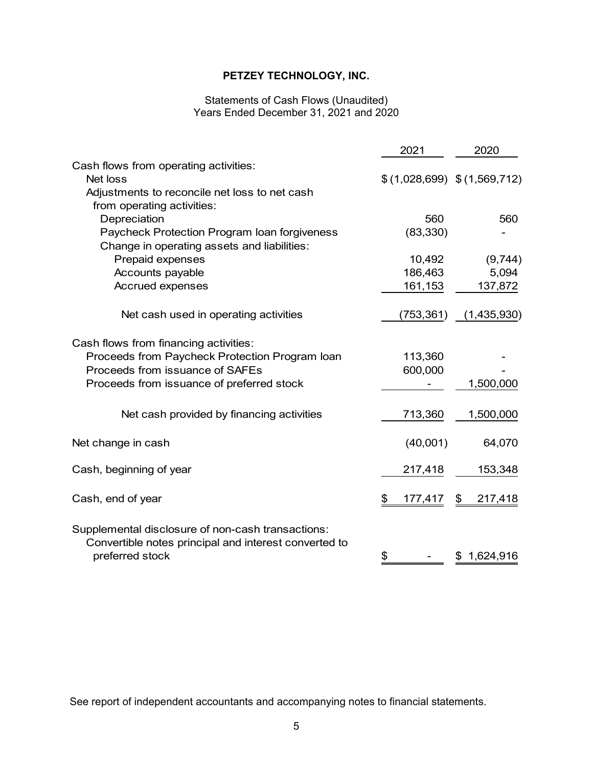#### Statements of Cash Flows (Unaudited) Years Ended December 31, 2021 and 2020

|                                                                                                                               | 2021                          | 2020          |
|-------------------------------------------------------------------------------------------------------------------------------|-------------------------------|---------------|
| Cash flows from operating activities:                                                                                         |                               |               |
| Net loss                                                                                                                      | $$(1,028,699)$ $$(1,569,712)$ |               |
| Adjustments to reconcile net loss to net cash                                                                                 |                               |               |
| from operating activities:                                                                                                    |                               |               |
| Depreciation                                                                                                                  | 560                           | 560           |
| Paycheck Protection Program Ioan forgiveness<br>Change in operating assets and liabilities:                                   | (83, 330)                     |               |
| Prepaid expenses                                                                                                              | 10,492                        | (9,744)       |
| Accounts payable                                                                                                              | 186,463                       | 5,094         |
| Accrued expenses                                                                                                              | 161,153                       | 137,872       |
| Net cash used in operating activities                                                                                         | (753, 361)                    | (1,435,930)   |
| Cash flows from financing activities:                                                                                         |                               |               |
| Proceeds from Paycheck Protection Program Ioan                                                                                | 113,360                       |               |
| Proceeds from issuance of SAFEs                                                                                               | 600,000                       |               |
| Proceeds from issuance of preferred stock                                                                                     |                               | 1,500,000     |
| Net cash provided by financing activities                                                                                     | 713,360                       | 1,500,000     |
| Net change in cash                                                                                                            | (40,001)                      | 64,070        |
| Cash, beginning of year                                                                                                       | 217,418                       | 153,348       |
| Cash, end of year                                                                                                             | \$<br>177,417                 | \$<br>217,418 |
| Supplemental disclosure of non-cash transactions:<br>Convertible notes principal and interest converted to<br>preferred stock | \$                            | \$1,624,916   |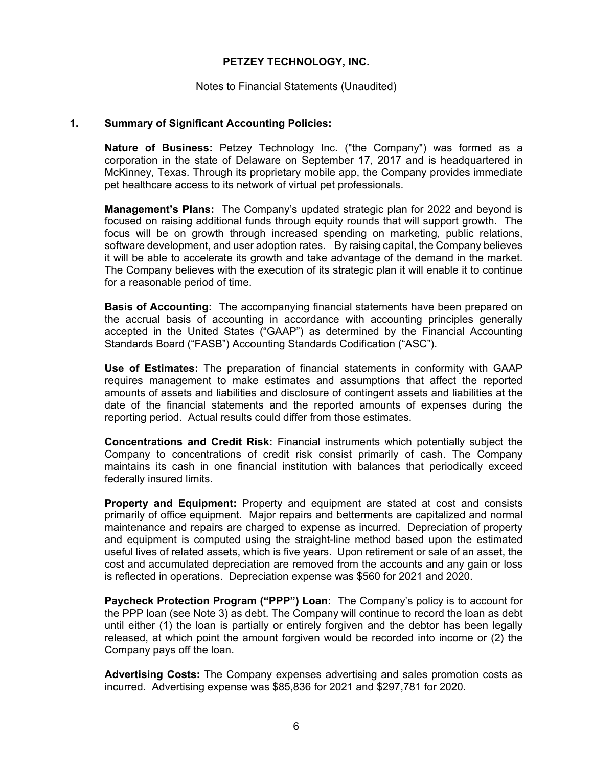#### Notes to Financial Statements (Unaudited)

#### **1. Summary of Significant Accounting Policies:**

**Nature of Business:** Petzey Technology Inc. ("the Company") was formed as a corporation in the state of Delaware on September 17, 2017 and is headquartered in McKinney, Texas. Through its proprietary mobile app, the Company provides immediate pet healthcare access to its network of virtual pet professionals.

**Management's Plans:** The Company's updated strategic plan for 2022 and beyond is focused on raising additional funds through equity rounds that will support growth. The focus will be on growth through increased spending on marketing, public relations, software development, and user adoption rates. By raising capital, the Company believes it will be able to accelerate its growth and take advantage of the demand in the market. The Company believes with the execution of its strategic plan it will enable it to continue for a reasonable period of time.

**Basis of Accounting:** The accompanying financial statements have been prepared on the accrual basis of accounting in accordance with accounting principles generally accepted in the United States ("GAAP") as determined by the Financial Accounting Standards Board ("FASB") Accounting Standards Codification ("ASC").

**Use of Estimates:** The preparation of financial statements in conformity with GAAP requires management to make estimates and assumptions that affect the reported amounts of assets and liabilities and disclosure of contingent assets and liabilities at the date of the financial statements and the reported amounts of expenses during the reporting period. Actual results could differ from those estimates.

**Concentrations and Credit Risk:** Financial instruments which potentially subject the Company to concentrations of credit risk consist primarily of cash. The Company maintains its cash in one financial institution with balances that periodically exceed federally insured limits.

**Property and Equipment:** Property and equipment are stated at cost and consists primarily of office equipment. Major repairs and betterments are capitalized and normal maintenance and repairs are charged to expense as incurred. Depreciation of property and equipment is computed using the straight-line method based upon the estimated useful lives of related assets, which is five years. Upon retirement or sale of an asset, the cost and accumulated depreciation are removed from the accounts and any gain or loss is reflected in operations. Depreciation expense was \$560 for 2021 and 2020.

**Paycheck Protection Program ("PPP") Loan:** The Company's policy is to account for the PPP loan (see Note 3) as debt. The Company will continue to record the loan as debt until either (1) the loan is partially or entirely forgiven and the debtor has been legally released, at which point the amount forgiven would be recorded into income or (2) the Company pays off the loan.

**Advertising Costs:** The Company expenses advertising and sales promotion costs as incurred. Advertising expense was \$85,836 for 2021 and \$297,781 for 2020.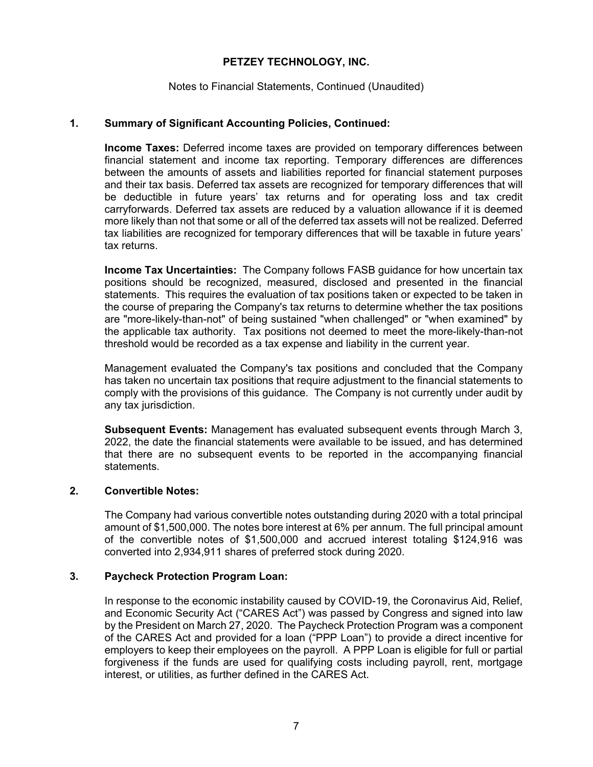#### Notes to Financial Statements, Continued (Unaudited)

#### **1. Summary of Significant Accounting Policies, Continued:**

**Income Taxes:** Deferred income taxes are provided on temporary differences between financial statement and income tax reporting. Temporary differences are differences between the amounts of assets and liabilities reported for financial statement purposes and their tax basis. Deferred tax assets are recognized for temporary differences that will be deductible in future years' tax returns and for operating loss and tax credit carryforwards. Deferred tax assets are reduced by a valuation allowance if it is deemed more likely than not that some or all of the deferred tax assets will not be realized. Deferred tax liabilities are recognized for temporary differences that will be taxable in future years' tax returns.

**Income Tax Uncertainties:** The Company follows FASB guidance for how uncertain tax positions should be recognized, measured, disclosed and presented in the financial statements. This requires the evaluation of tax positions taken or expected to be taken in the course of preparing the Company's tax returns to determine whether the tax positions are "more-likely-than-not" of being sustained "when challenged" or "when examined" by the applicable tax authority. Tax positions not deemed to meet the more-likely-than-not threshold would be recorded as a tax expense and liability in the current year.

Management evaluated the Company's tax positions and concluded that the Company has taken no uncertain tax positions that require adjustment to the financial statements to comply with the provisions of this guidance. The Company is not currently under audit by any tax jurisdiction.

**Subsequent Events:** Management has evaluated subsequent events through March 3, 2022, the date the financial statements were available to be issued, and has determined that there are no subsequent events to be reported in the accompanying financial statements.

#### **2. Convertible Notes:**

The Company had various convertible notes outstanding during 2020 with a total principal amount of \$1,500,000. The notes bore interest at 6% per annum. The full principal amount of the convertible notes of \$1,500,000 and accrued interest totaling \$124,916 was converted into 2,934,911 shares of preferred stock during 2020.

#### **3. Paycheck Protection Program Loan:**

In response to the economic instability caused by COVID-19, the Coronavirus Aid, Relief, and Economic Security Act ("CARES Act") was passed by Congress and signed into law by the President on March 27, 2020. The Paycheck Protection Program was a component of the CARES Act and provided for a loan ("PPP Loan") to provide a direct incentive for employers to keep their employees on the payroll. A PPP Loan is eligible for full or partial forgiveness if the funds are used for qualifying costs including payroll, rent, mortgage interest, or utilities, as further defined in the CARES Act.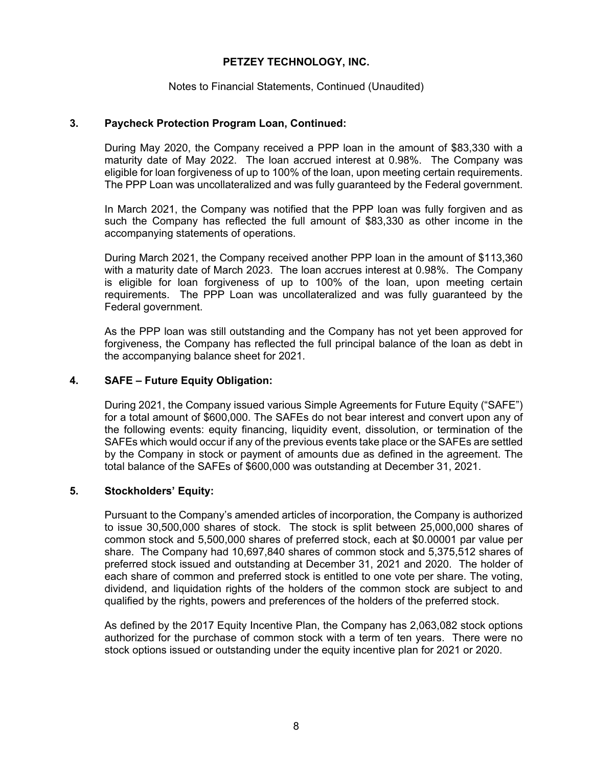#### Notes to Financial Statements, Continued (Unaudited)

#### **3. Paycheck Protection Program Loan, Continued:**

During May 2020, the Company received a PPP loan in the amount of \$83,330 with a maturity date of May 2022. The loan accrued interest at 0.98%. The Company was eligible for loan forgiveness of up to 100% of the loan, upon meeting certain requirements. The PPP Loan was uncollateralized and was fully guaranteed by the Federal government.

In March 2021, the Company was notified that the PPP loan was fully forgiven and as such the Company has reflected the full amount of \$83,330 as other income in the accompanying statements of operations.

During March 2021, the Company received another PPP loan in the amount of \$113,360 with a maturity date of March 2023. The loan accrues interest at 0.98%. The Company is eligible for loan forgiveness of up to 100% of the loan, upon meeting certain requirements. The PPP Loan was uncollateralized and was fully guaranteed by the Federal government.

As the PPP loan was still outstanding and the Company has not yet been approved for forgiveness, the Company has reflected the full principal balance of the loan as debt in the accompanying balance sheet for 2021.

#### **4. SAFE – Future Equity Obligation:**

During 2021, the Company issued various Simple Agreements for Future Equity ("SAFE") for a total amount of \$600,000. The SAFEs do not bear interest and convert upon any of the following events: equity financing, liquidity event, dissolution, or termination of the SAFEs which would occur if any of the previous events take place or the SAFEs are settled by the Company in stock or payment of amounts due as defined in the agreement. The total balance of the SAFEs of \$600,000 was outstanding at December 31, 2021.

#### **5. Stockholders' Equity:**

Pursuant to the Company's amended articles of incorporation, the Company is authorized to issue 30,500,000 shares of stock. The stock is split between 25,000,000 shares of common stock and 5,500,000 shares of preferred stock, each at \$0.00001 par value per share. The Company had 10,697,840 shares of common stock and 5,375,512 shares of preferred stock issued and outstanding at December 31, 2021 and 2020. The holder of each share of common and preferred stock is entitled to one vote per share. The voting, dividend, and liquidation rights of the holders of the common stock are subject to and qualified by the rights, powers and preferences of the holders of the preferred stock.

As defined by the 2017 Equity Incentive Plan, the Company has 2,063,082 stock options authorized for the purchase of common stock with a term of ten years. There were no stock options issued or outstanding under the equity incentive plan for 2021 or 2020.